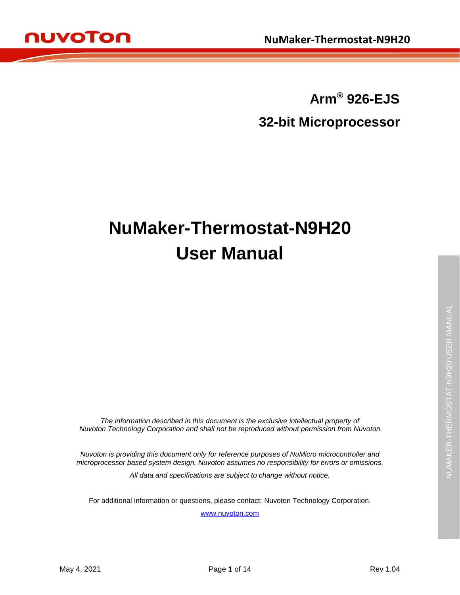

**Arm® 926-EJS 32-bit Microprocessor**

# **NuMaker-Thermostat-N9H20 User Manual**

*The information described in this document is the exclusive intellectual property of Nuvoton Technology Corporation and shall not be reproduced without permission from Nuvoton.*

*Nuvoton is providing this document only for reference purposes of NuMicro microcontroller and microprocessor based system design. Nuvoton assumes no responsibility for errors or omissions.*

*All data and specifications are subject to change without notice.*

For additional information or questions, please contact: Nuvoton Technology Corporation.

[www.nuvoton.com](http://www.nuvoton.com/)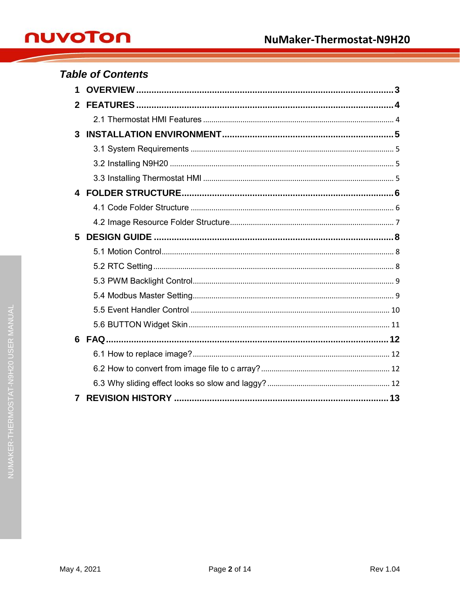| <b>Table of Contents</b> |  |  |  |
|--------------------------|--|--|--|
| 1.                       |  |  |  |
| $\mathbf{2}$             |  |  |  |
|                          |  |  |  |
| 3                        |  |  |  |
|                          |  |  |  |
|                          |  |  |  |
|                          |  |  |  |
|                          |  |  |  |
|                          |  |  |  |
|                          |  |  |  |
| 5                        |  |  |  |
|                          |  |  |  |
|                          |  |  |  |
|                          |  |  |  |
|                          |  |  |  |
|                          |  |  |  |
|                          |  |  |  |
|                          |  |  |  |
|                          |  |  |  |
|                          |  |  |  |
|                          |  |  |  |
| 7                        |  |  |  |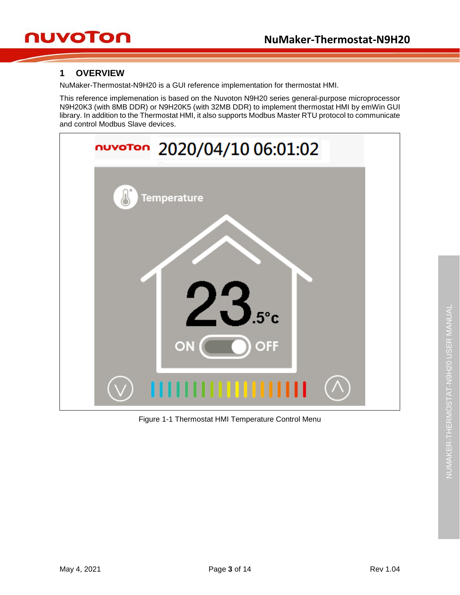## nuvoTon

## <span id="page-2-0"></span>**1 OVERVIEW**

NuMaker-Thermostat-N9H20 is a GUI reference implementation for thermostat HMI.

This reference implemenation is based on the Nuvoton N9H20 series general-purpose microprocessor N9H20K3 (with 8MB DDR) or N9H20K5 (with 32MB DDR) to implement thermostat HMI by emWin GUI library. In addition to the Thermostat HMI, it also supports Modbus Master RTU protocol to communicate and control Modbus Slave devices.



Figure 1-1 Thermostat HMI Temperature Control Menu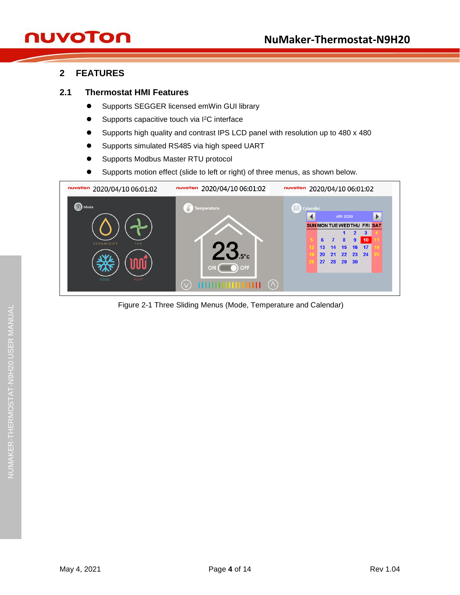## nuvoTon

## <span id="page-3-0"></span>**2 FEATURES**

#### <span id="page-3-1"></span>**2.1 Thermostat HMI Features**

- **Supports SEGGER licensed emWin GUI library**
- Supports capacitive touch via I<sup>2</sup>C interface
- Supports high quality and contrast IPS LCD panel with resolution up to 480 x 480
- Supports simulated RS485 via high speed UART
- Supports Modbus Master RTU protocol
- Supports motion effect (slide to left or right) of three menus, as shown below.



Figure 2-1 Three Sliding Menus (Mode, Temperature and Calendar)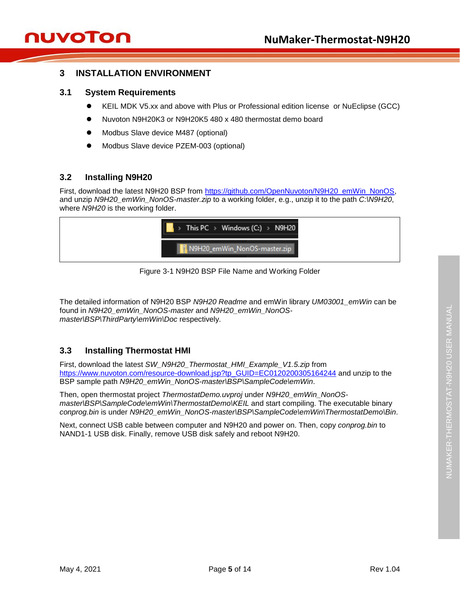### <span id="page-4-0"></span>**3 INSTALLATION ENVIRONMENT**

#### <span id="page-4-1"></span>**3.1 System Requirements**

- KEIL MDK V5.xx and above with Plus or Professional edition license or NuEclipse (GCC)
- Nuvoton N9H20K3 or N9H20K5 480 x 480 thermostat demo board
- Modbus Slave device M487 (optional)
- Modbus Slave device PZEM-003 (optional)

#### <span id="page-4-2"></span>**3.2 Installing N9H20**

First, download the latest N9H20 BSP from [https://github.com/OpenNuvoton/N9H20\\_emWin\\_NonOS,](https://github.com/OpenNuvoton/N9H20_emWin_NonOS) and unzip *N9H20\_emWin\_NonOS-master.zip* to a working folder, e.g., unzip it to the path *C:\N9H20*, where *N9H20* is the working folder.

| $\blacksquare$ > This PC > Windows (C:) > N9H20 |  |
|-------------------------------------------------|--|
| N9H20_emWin_NonOS-master.zip                    |  |

Figure 3-1 N9H20 BSP File Name and Working Folder

The detailed information of N9H20 BSP *N9H20 Readme* and emWin library *UM03001\_emWin* can be found in *N9H20\_emWin\_NonOS-master* and *N9H20\_emWin\_NonOSmaster\BSP\ThirdParty\emWin\Doc* respectively.

### <span id="page-4-3"></span>**3.3 Installing Thermostat HMI**

First, download the latest *SW\_N9H20\_Thermostat\_HMI\_Example\_V1.5.zip* from [https://www.nuvoton.com/resource-download.jsp?tp\\_GUID=EC0120200305164244](https://www.nuvoton.com/resource-download.jsp?tp_GUID=EC0120200305164244) and unzip to the BSP sample path *N9H20\_emWin\_NonOS-master\BSP\SampleCode\emWin*.

Then, open thermostat project *ThermostatDemo.uvproj* under *N9H20\_emWin\_NonOSmaster\BSP\SampleCode\emWin\ThermostatDemo\KEIL* and start compiling. The executable binary *conprog.bin* is under *N9H20\_emWin\_NonOS-master\BSP\SampleCode\emWin\ThermostatDemo\Bin*.

Next, connect USB cable between computer and N9H20 and power on. Then, copy *conprog.bin* to NAND1-1 USB disk. Finally, remove USB disk safely and reboot N9H20.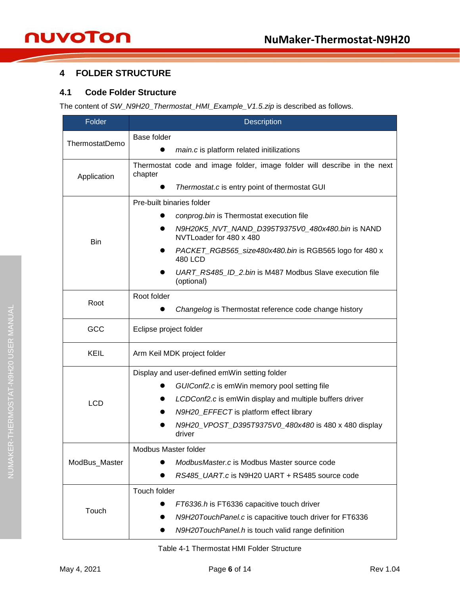## <span id="page-5-0"></span>**4 FOLDER STRUCTURE**

#### <span id="page-5-1"></span>**4.1 Code Folder Structure**

The content of *SW\_N9H20\_Thermostat\_HMI\_Example\_V1.5.zip* is described as follows.

| Folder         | Description                                                                         |  |  |
|----------------|-------------------------------------------------------------------------------------|--|--|
|                | Base folder                                                                         |  |  |
| ThermostatDemo | main.c is platform related initilizations                                           |  |  |
| Application    | Thermostat code and image folder, image folder will describe in the next<br>chapter |  |  |
|                | Thermostat.c is entry point of thermostat GUI                                       |  |  |
|                | Pre-built binaries folder                                                           |  |  |
|                | conprog.bin is Thermostat execution file                                            |  |  |
| <b>Bin</b>     | N9H20K5_NVT_NAND_D395T9375V0_480x480.bin is NAND<br>NVTLoader for 480 x 480         |  |  |
|                | PACKET_RGB565_size480x480.bin is RGB565 logo for 480 x<br>480 LCD                   |  |  |
|                | UART_RS485_ID_2.bin is M487 Modbus Slave execution file<br>(optional)               |  |  |
|                | Root folder                                                                         |  |  |
| Root           | Changelog is Thermostat reference code change history                               |  |  |
| GCC            | Eclipse project folder                                                              |  |  |
| KEIL           | Arm Keil MDK project folder                                                         |  |  |
|                | Display and user-defined emWin setting folder                                       |  |  |
|                | GUIConf2.c is emWin memory pool setting file                                        |  |  |
| <b>LCD</b>     | LCDConf2.c is emWin display and multiple buffers driver                             |  |  |
|                | N9H20_EFFECT is platform effect library                                             |  |  |
|                | N9H20_VPOST_D395T9375V0_480x480 is 480 x 480 display<br>driver                      |  |  |
|                | Modbus Master folder                                                                |  |  |
| ModBus_Master  | ModbusMaster.c is Modbus Master source code                                         |  |  |
|                | RS485_UART.c is N9H20 UART + RS485 source code                                      |  |  |
|                | Touch folder                                                                        |  |  |
| Touch          | FT6336.h is FT6336 capacitive touch driver                                          |  |  |
|                | N9H20TouchPanel.c is capacitive touch driver for FT6336                             |  |  |
|                | N9H20TouchPanel.h is touch valid range definition                                   |  |  |

Table 4-1 Thermostat HMI Folder Structure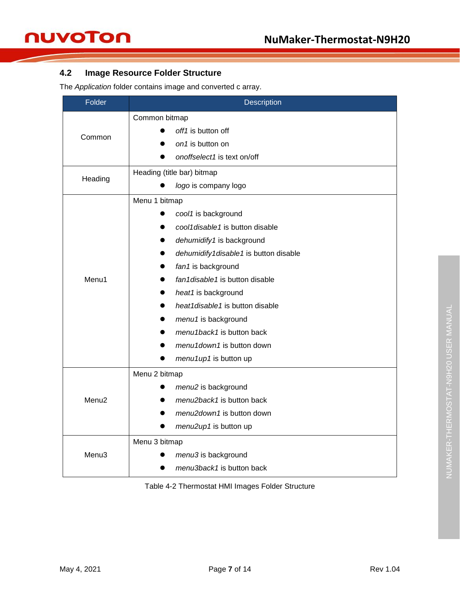## <span id="page-6-0"></span>**4.2 Image Resource Folder Structure**

The *Application* folder contains image and converted c array.

| Folder            | Description                           |  |  |  |
|-------------------|---------------------------------------|--|--|--|
|                   | Common bitmap                         |  |  |  |
|                   | off1 is button off                    |  |  |  |
| Common            | on1 is button on                      |  |  |  |
|                   | onoffselect1 is text on/off           |  |  |  |
|                   | Heading (title bar) bitmap            |  |  |  |
| Heading           | logo is company logo                  |  |  |  |
|                   | Menu 1 bitmap                         |  |  |  |
|                   | cool1 is background                   |  |  |  |
|                   | cool1disable1 is button disable       |  |  |  |
|                   | dehumidify1 is background             |  |  |  |
|                   | dehumidify1disable1 is button disable |  |  |  |
|                   | fan1 is background                    |  |  |  |
| Menu1             | fan1disable1 is button disable        |  |  |  |
|                   | heat1 is background                   |  |  |  |
|                   | heat1disable1 is button disable       |  |  |  |
|                   | menu1 is background                   |  |  |  |
|                   | menu1back1 is button back             |  |  |  |
|                   | menu1down1 is button down             |  |  |  |
|                   | menu1up1 is button up                 |  |  |  |
|                   | Menu 2 bitmap                         |  |  |  |
|                   | menu2 is background                   |  |  |  |
| Menu <sub>2</sub> | menu2back1 is button back             |  |  |  |
|                   | menu2down1 is button down             |  |  |  |
|                   | menu2up1 is button up                 |  |  |  |
|                   | Menu 3 bitmap                         |  |  |  |
| Menu <sub>3</sub> | menu3 is background                   |  |  |  |
|                   | menu3back1 is button back             |  |  |  |

Table 4-2 Thermostat HMI Images Folder Structure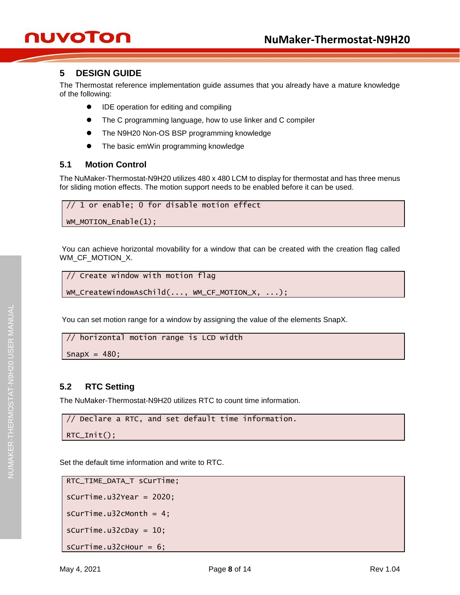## <span id="page-7-0"></span>**5 DESIGN GUIDE**

The Thermostat reference implementation guide assumes that you already have a mature knowledge of the following:

- IDE operation for editing and compiling
- The C programming language, how to use linker and C compiler
- The N9H20 Non-OS BSP programming knowledge
- The basic emWin programming knowledge

#### <span id="page-7-1"></span>**5.1 Motion Control**

The NuMaker-Thermostat-N9H20 utilizes 480 x 480 LCM to display for thermostat and has three menus for sliding motion effects. The motion support needs to be enabled before it can be used.

```
// 1 or enable; 0 for disable motion effect
```

```
WM_MOTION_Enable(1);
```
You can achieve horizontal movability for a window that can be created with the creation flag called WM\_CF\_MOTION\_X.

```
// Create window with motion flag
```

```
WM_CreateWindowAsChild(..., WM_CF_MOTION_X, ...);
```
You can set motion range for a window by assigning the value of the elements SnapX.

```
// horizontal motion range is LCD width
```
Snap $X = 480$ ;

#### <span id="page-7-2"></span>**5.2 RTC Setting**

The NuMaker-Thermostat-N9H20 utilizes RTC to count time information.

```
// Declare a RTC, and set default time information.
```

```
RTC_Init();
```
Set the default time information and write to RTC.

```
RTC_TIME_DATA_T sCurTime;
sCurrime.u32Year = 2020;sCurTime.u32cMonth = 4;
sCurTime.u32cDay = 10;
sCurTime.u32cHour = 6;
```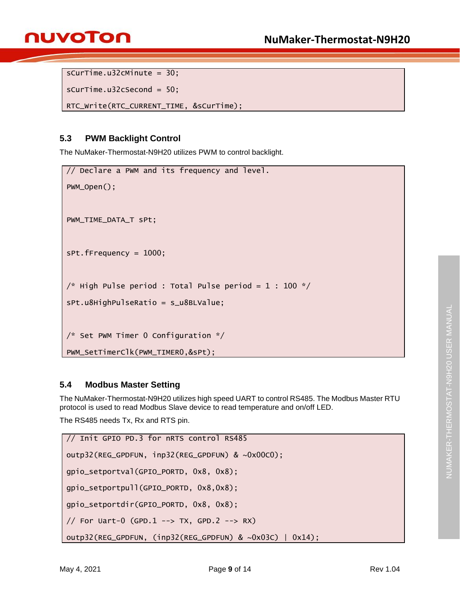```
sCurTime.u32cMinute = 30;
```

```
sCurTime.u32cSecond = 50;
```

```
RTC_Write(RTC_CURRENT_TIME, &sCurTime);
```
## <span id="page-8-0"></span>**5.3 PWM Backlight Control**

The NuMaker-Thermostat-N9H20 utilizes PWM to control backlight.

```
// Declare a PWM and its frequency and level.
PWM_Open();
PWM_TIME_DATA_T sPt;
sPt.fFrequency = 1000;
/* High Pulse period : Total Pulse period = 1 : 100 */
sPt.u8HighPulseRatio = s_u8BLValue;
/* Set PWM Timer 0 Configuration */
PWM_SetTimerClk(PWM_TIMER0,&sPt);
```
### <span id="page-8-1"></span>**5.4 Modbus Master Setting**

The NuMaker-Thermostat-N9H20 utilizes high speed UART to control RS485. The Modbus Master RTU protocol is used to read Modbus Slave device to read temperature and on/off LED.

The RS485 needs Tx, Rx and RTS pin.

```
// Init GPIO PD.3 for nRTS control RS485
outp32(REG_GPDFUN, inp32(REG_GPDFUN) & ~0x00C0);
gpio_setportval(GPIO_PORTD, 0x8, 0x8);
gpio_setportpull(GPIO_PORTD, 0x8,0x8);
gpio_setportdir(GPIO_PORTD, 0x8, 0x8);
// For Uart-0 (GPD.1 --> TX, GPD.2 --> RX)
outp32(REG_GPDFUN, (inp32(REG_GPDFUN) & ~0x03C) | 0x14);
```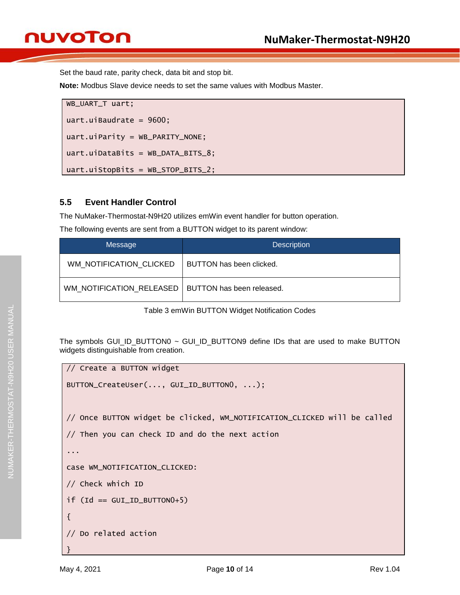## nuvoTon

Set the baud rate, parity check, data bit and stop bit.

**Note:** Modbus Slave device needs to set the same values with Modbus Master.

```
WB_UART_T uart;
uart.uiBaudrate = 9600;
uart.uiParity = WB_PARITY_NONE;
uart.uiDataBits = WB_DATA_BITS_8;
uart.uiStopBits = WB_STOP_BITS_2;
```
#### <span id="page-9-0"></span>**5.5 Event Handler Control**

The NuMaker-Thermostat-N9H20 utilizes emWin event handler for button operation.

The following events are sent from a BUTTON widget to its parent window:

| Message                                              | <b>Description</b>       |
|------------------------------------------------------|--------------------------|
| WM NOTIFICATION CLICKED                              | BUTTON has been clicked. |
| WM NOTIFICATION_RELEASED   BUTTON has been released. |                          |

Table 3 emWin BUTTON Widget Notification Codes

The symbols GUI\_ID\_BUTTON0 ~ GUI\_ID\_BUTTON9 define IDs that are used to make BUTTON widgets distinguishable from creation.

```
// Create a BUTTON widget
BUTTON_CreateUser(..., GUI_ID_BUTTON0, ...);
// Once BUTTON widget be clicked, WM_NOTIFICATION_CLICKED will be called
// Then you can check ID and do the next action
...
case WM_NOTIFICATION_CLICKED:
// Check which ID
if (Id == GUI_ID_BUTTON0+5){
// Do related action
}
```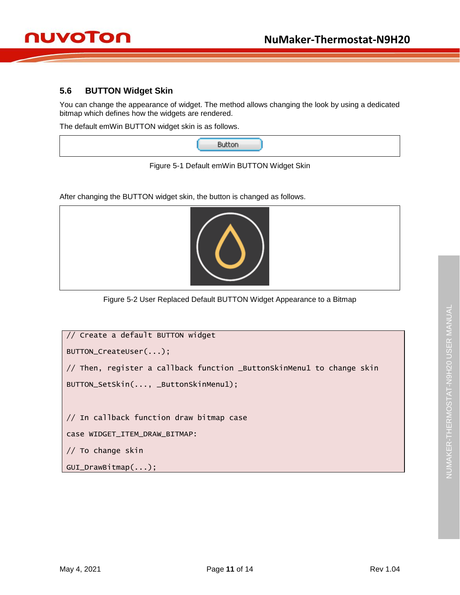#### <span id="page-10-0"></span>**5.6 BUTTON Widget Skin**

You can change the appearance of widget. The method allows changing the look by using a dedicated bitmap which defines how the widgets are rendered.

The default emWin BUTTON widget skin is as follows.

|--|

Figure 5-1 Default emWin BUTTON Widget Skin

After changing the BUTTON widget skin, the button is changed as follows.



Figure 5-2 User Replaced Default BUTTON Widget Appearance to a Bitmap

| // Create a default BUTTON widget                                     |  |  |  |
|-----------------------------------------------------------------------|--|--|--|
| BUTTON_CreateUser();                                                  |  |  |  |
| // Then, register a callback function _ButtonSkinMenu1 to change skin |  |  |  |
| BUTTON_SetSkin(, _ButtonSkinMenu1);                                   |  |  |  |
|                                                                       |  |  |  |
| // In callback function draw bitmap case                              |  |  |  |
| Case WIDGET_ITEM_DRAW_BITMAP:                                         |  |  |  |
| // To change skin                                                     |  |  |  |
| $GUI_DrawBitmap();$                                                   |  |  |  |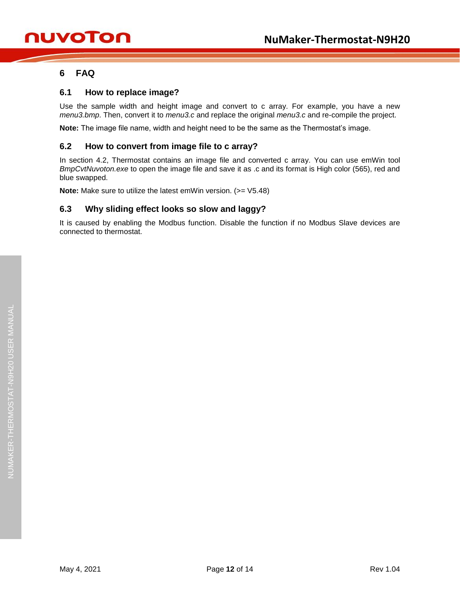### <span id="page-11-0"></span>**6 FAQ**

#### <span id="page-11-1"></span>**6.1 How to replace image?**

Use the sample width and height image and convert to c array. For example, you have a new *menu3.bmp*. Then, convert it to *menu3.c* and replace the original *menu3.c* and re-compile the project.

**Note:** The image file name, width and height need to be the same as the Thermostat's image.

#### <span id="page-11-2"></span>**6.2 How to convert from image file to c array?**

In section 4.2, Thermostat contains an image file and converted c array. You can use emWin tool *BmpCvtNuvoton.exe* to open the image file and save it as .c and its format is High color (565), red and blue swapped.

**Note:** Make sure to utilize the latest emWin version. (>= V5.48)

#### <span id="page-11-3"></span>**6.3 Why sliding effect looks so slow and laggy?**

It is caused by enabling the Modbus function. Disable the function if no Modbus Slave devices are connected to thermostat.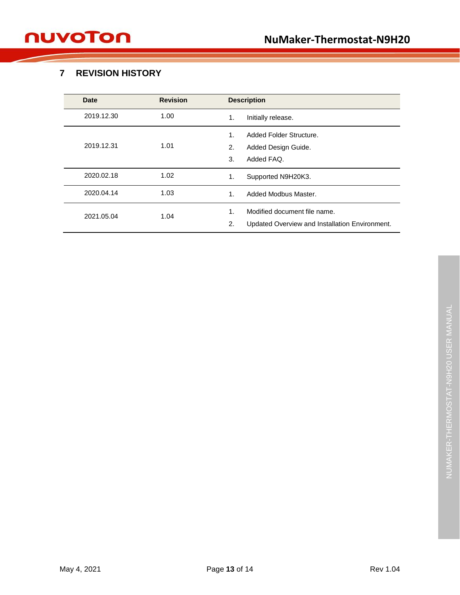## <span id="page-12-0"></span>**7 REVISION HISTORY**

| <b>Date</b> | <b>Revision</b> | <b>Description</b>                                   |  |
|-------------|-----------------|------------------------------------------------------|--|
| 2019.12.30  | 1.00            | Initially release.<br>1.                             |  |
|             |                 | Added Folder Structure.<br>1.                        |  |
| 2019.12.31  | 1.01            | 2.<br>Added Design Guide.                            |  |
|             |                 | Added FAQ.<br>3.                                     |  |
| 2020.02.18  | 1.02            | Supported N9H20K3.<br>1.                             |  |
| 2020.04.14  | 1.03            | Added Modbus Master.<br>1.                           |  |
| 2021.05.04  | 1.04            | Modified document file name.<br>1.                   |  |
|             |                 | Updated Overview and Installation Environment.<br>2. |  |